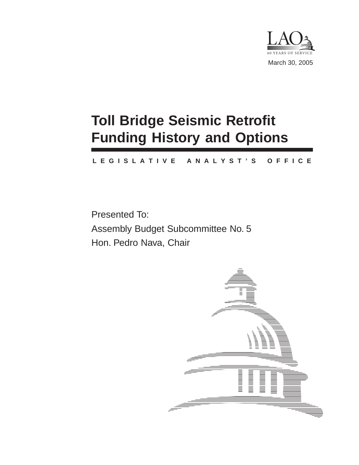

# **Toll Bridge Seismic Retrofit Funding History and Options**

#### **L E G I S L A T I V E A N A L Y S T ' S O F F I C E**

Presented To: Assembly Budget Subcommittee No. 5 Hon. Pedro Nava, Chair

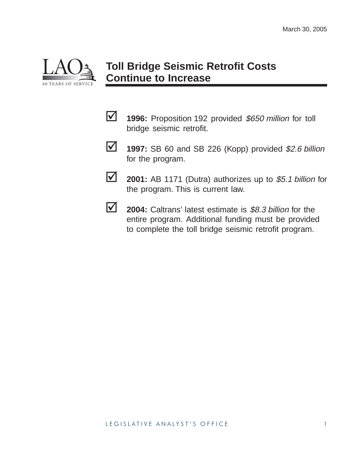

# **Toll Bridge Seismic Retrofit Costs Continue to Increase**

- **1996:** Proposition 192 provided \$650 million for toll bridge seismic retrofit.
- **1997:** SB 60 and SB 226 (Kopp) provided \$2.6 billion for the program.
- **2001:** AB 1171 (Dutra) authorizes up to \$5.1 billion for the program. This is current law.
- 
- **2004:** Caltrans' latest estimate is \$8.3 billion for the entire program. Additional funding must be provided to complete the toll bridge seismic retrofit program.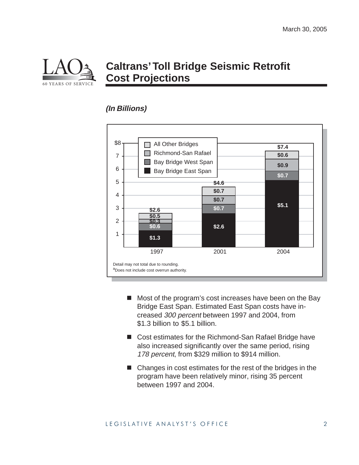

### **Caltrans' Toll Bridge Seismic Retrofit Cost Projections**

#### **(In Billions)**



- Most of the program's cost increases have been on the Bay Bridge East Span. Estimated East Span costs have increased 300 percent between 1997 and 2004, from \$1.3 billion to \$5.1 billion.
- Cost estimates for the Richmond-San Rafael Bridge have also increased significantly over the same period, rising 178 percent, from \$329 million to \$914 million.
- Changes in cost estimates for the rest of the bridges in the program have been relatively minor, rising 35 percent between 1997 and 2004.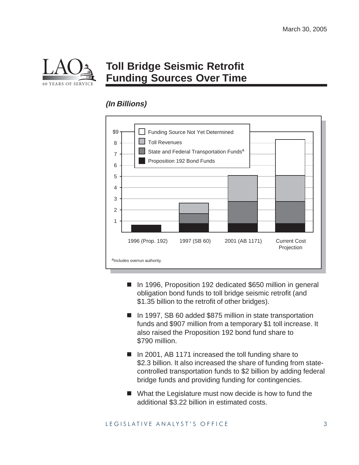

# **Toll Bridge Seismic Retrofit Funding Sources Over Time**

#### **(In Billions)**



- In 1996, Proposition 192 dedicated \$650 million in general obligation bond funds to toll bridge seismic retrofit (and \$1.35 billion to the retrofit of other bridges).
- In 1997, SB 60 added \$875 million in state transportation funds and \$907 million from a temporary \$1 toll increase. It also raised the Proposition 192 bond fund share to \$790 million.
- In 2001, AB 1171 increased the toll funding share to \$2.3 billion. It also increased the share of funding from statecontrolled transportation funds to \$2 billion by adding federal bridge funds and providing funding for contingencies.
- What the Legislature must now decide is how to fund the additional \$3.22 billion in estimated costs.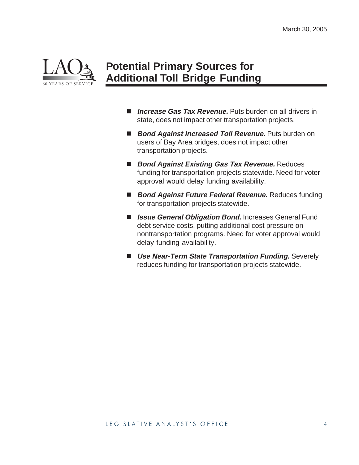

### **Potential Primary Sources for Additional Toll Bridge Funding**

- *Increase Gas Tax Revenue.* Puts burden on all drivers in state, does not impact other transportation projects.
- Bond Against Increased Toll Revenue. Puts burden on users of Bay Area bridges, does not impact other transportation projects.
- Bond Against Existing Gas Tax Revenue. Reduces funding for transportation projects statewide. Need for voter approval would delay funding availability.
- Bond Against Future Federal Revenue. Reduces funding for transportation projects statewide.
- **Issue General Obligation Bond.** Increases General Fund debt service costs, putting additional cost pressure on nontransportation programs. Need for voter approval would delay funding availability.
- **Use Near-Term State Transportation Funding.** Severely reduces funding for transportation projects statewide.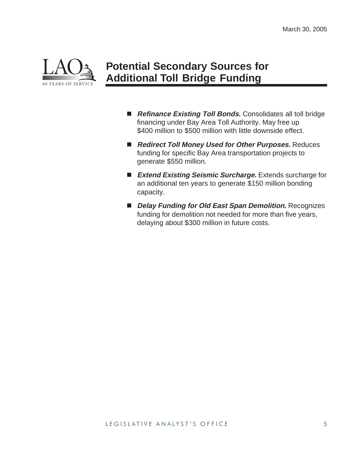

## **Potential Secondary Sources for Additional Toll Bridge Funding**

- Refinance Existing Toll Bonds. Consolidates all toll bridge financing under Bay Area Toll Authority. May free up \$400 million to \$500 million with little downside effect.
- Redirect Toll Money Used for Other Purposes. Reduces funding for specific Bay Area transportation projects to generate \$550 million.
- Extend Existing Seismic Surcharge. Extends surcharge for an additional ten years to generate \$150 million bonding capacity.
- **Delay Funding for Old East Span Demolition.** Recognizes funding for demolition not needed for more than five years, delaying about \$300 million in future costs.